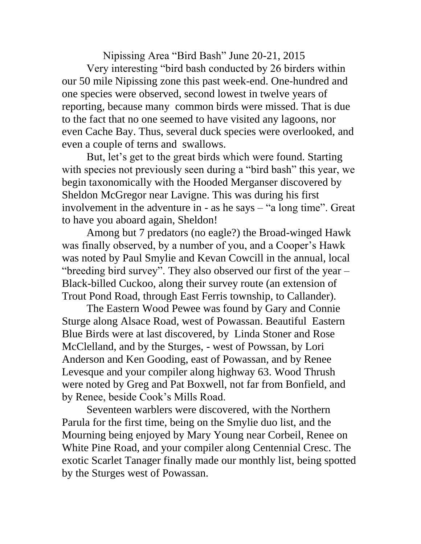Nipissing Area "Bird Bash" June 20-21, 2015 Very interesting "bird bash conducted by 26 birders within our 50 mile Nipissing zone this past week-end. One-hundred and one species were observed, second lowest in twelve years of reporting, because many common birds were missed. That is due to the fact that no one seemed to have visited any lagoons, nor even Cache Bay. Thus, several duck species were overlooked, and even a couple of terns and swallows.

But, let's get to the great birds which were found. Starting with species not previously seen during a "bird bash" this year, we begin taxonomically with the Hooded Merganser discovered by Sheldon McGregor near Lavigne. This was during his first involvement in the adventure in - as he says – "a long time". Great to have you aboard again, Sheldon!

Among but 7 predators (no eagle?) the Broad-winged Hawk was finally observed, by a number of you, and a Cooper's Hawk was noted by Paul Smylie and Kevan Cowcill in the annual, local "breeding bird survey". They also observed our first of the year – Black-billed Cuckoo, along their survey route (an extension of Trout Pond Road, through East Ferris township, to Callander).

The Eastern Wood Pewee was found by Gary and Connie Sturge along Alsace Road, west of Powassan. Beautiful Eastern Blue Birds were at last discovered, by Linda Stoner and Rose McClelland, and by the Sturges, - west of Powssan, by Lori Anderson and Ken Gooding, east of Powassan, and by Renee Levesque and your compiler along highway 63. Wood Thrush were noted by Greg and Pat Boxwell, not far from Bonfield, and by Renee, beside Cook's Mills Road.

Seventeen warblers were discovered, with the Northern Parula for the first time, being on the Smylie duo list, and the Mourning being enjoyed by Mary Young near Corbeil, Renee on White Pine Road, and your compiler along Centennial Cresc. The exotic Scarlet Tanager finally made our monthly list, being spotted by the Sturges west of Powassan.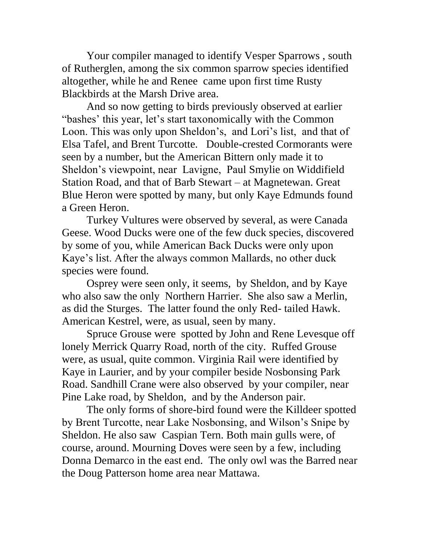Your compiler managed to identify Vesper Sparrows , south of Rutherglen, among the six common sparrow species identified altogether, while he and Renee came upon first time Rusty Blackbirds at the Marsh Drive area.

And so now getting to birds previously observed at earlier "bashes' this year, let's start taxonomically with the Common Loon. This was only upon Sheldon's, and Lori's list, and that of Elsa Tafel, and Brent Turcotte. Double-crested Cormorants were seen by a number, but the American Bittern only made it to Sheldon's viewpoint, near Lavigne, Paul Smylie on Widdifield Station Road, and that of Barb Stewart – at Magnetewan. Great Blue Heron were spotted by many, but only Kaye Edmunds found a Green Heron.

Turkey Vultures were observed by several, as were Canada Geese. Wood Ducks were one of the few duck species, discovered by some of you, while American Back Ducks were only upon Kaye's list. After the always common Mallards, no other duck species were found.

Osprey were seen only, it seems, by Sheldon, and by Kaye who also saw the only Northern Harrier. She also saw a Merlin, as did the Sturges. The latter found the only Red- tailed Hawk. American Kestrel, were, as usual, seen by many.

Spruce Grouse were spotted by John and Rene Levesque off lonely Merrick Quarry Road, north of the city. Ruffed Grouse were, as usual, quite common. Virginia Rail were identified by Kaye in Laurier, and by your compiler beside Nosbonsing Park Road. Sandhill Crane were also observed by your compiler, near Pine Lake road, by Sheldon, and by the Anderson pair.

The only forms of shore-bird found were the Killdeer spotted by Brent Turcotte, near Lake Nosbonsing, and Wilson's Snipe by Sheldon. He also saw Caspian Tern. Both main gulls were, of course, around. Mourning Doves were seen by a few, including Donna Demarco in the east end. The only owl was the Barred near the Doug Patterson home area near Mattawa.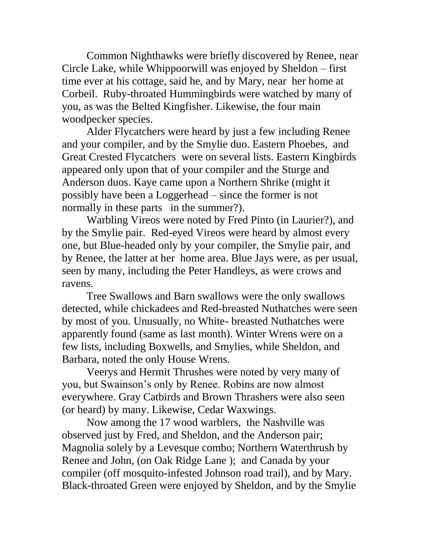Common Nighthawks were briefly discovered by Renee, near Circle Lake, while Whippoorwill was enjoyed by Sheldon – first time ever at his cottage, said he, and by Mary, near her home at Corbeil. Ruby-throated Hummingbirds were watched by many of you, as was the Belted Kingfisher. Likewise, the four main woodpecker species.

Alder Flycatchers were heard by just a few including Renee and your compiler, and by the Smylie duo. Eastern Phoebes, and Great Crested Flycatchers were on several lists. Eastern Kingbirds appeared only upon that of your compiler and the Sturge and Anderson duos. Kaye came upon a Northern Shrike (might it possibly have been a Loggerhead – since the former is not normally in these parts in the summer?).

Warbling Vireos were noted by Fred Pinto (in Laurier?), and by the Smylie pair. Red-eyed Vireos were heard by almost every one, but Blue-headed only by your compiler, the Smylie pair, and by Renee, the latter at her home area. Blue Jays were, as per usual, seen by many, including the Peter Handleys, as were crows and ravens.

Tree Swallows and Barn swallows were the only swallows detected, while chickadees and Red-breasted Nuthatches were seen by most of you. Unusually, no White- breasted Nuthatches were apparently found (same as last month). Winter Wrens were on a few lists, including Boxwells, and Smylies, while Sheldon, and Barbara, noted the only House Wrens.

Veerys and Hermit Thrushes were noted by very many of you, but Swainson's only by Renee. Robins are now almost everywhere. Gray Catbirds and Brown Thrashers were also seen (or heard) by many. Likewise, Cedar Waxwings.

Now among the 17 wood warblers, the Nashville was observed just by Fred, and Sheldon, and the Anderson pair; Magnolia solely by a Levesque combo; Northern Waterthrush by Renee and John, (on Oak Ridge Lane ); and Canada by your compiler (off mosquito-infested Johnson road trail), and by Mary. Black-throated Green were enjoyed by Sheldon, and by the Smylie